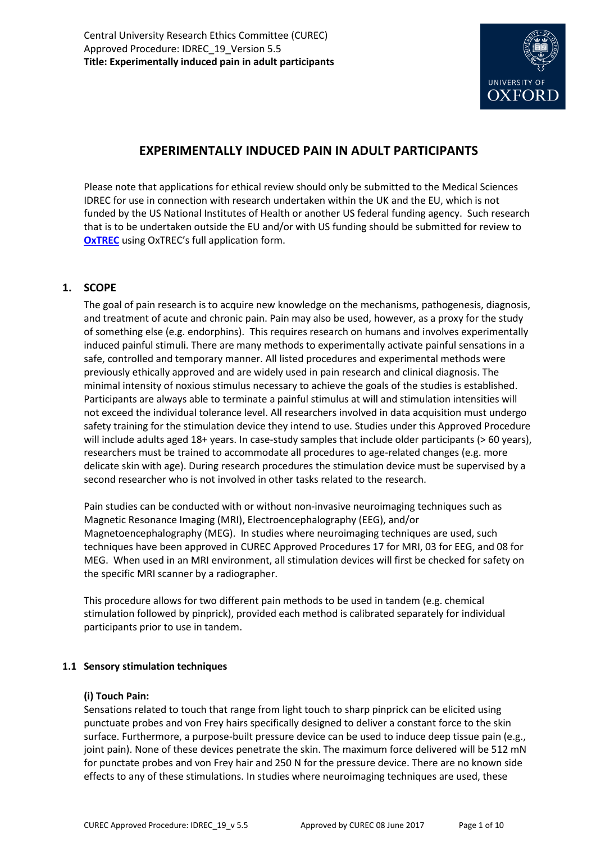

# **EXPERIMENTALLY INDUCED PAIN IN ADULT PARTICIPANTS**

Please note that applications for ethical review should only be submitted to the Medical Sciences IDREC for use in connection with research undertaken within the UK and the EU, which is not funded by the US National Institutes of Health or another US federal funding agency. Such research that is to be undertaken outside the EU and/or with US funding should be submitted for review to **[OxTREC](http://researchsupport.admin.ox.ac.uk/governance/ethics/apply/oxtrec)** using OxTREC's full application form.

# **1. SCOPE**

The goal of pain research is to acquire new knowledge on the mechanisms, pathogenesis, diagnosis, and treatment of acute and chronic pain. Pain may also be used, however, as a proxy for the study of something else (e.g. endorphins). This requires research on humans and involves experimentally induced painful stimuli. There are many methods to experimentally activate painful sensations in a safe, controlled and temporary manner. All listed procedures and experimental methods were previously ethically approved and are widely used in pain research and clinical diagnosis. The minimal intensity of noxious stimulus necessary to achieve the goals of the studies is established. Participants are always able to terminate a painful stimulus at will and stimulation intensities will not exceed the individual tolerance level. All researchers involved in data acquisition must undergo safety training for the stimulation device they intend to use. Studies under this Approved Procedure will include adults aged 18+ years. In case-study samples that include older participants (> 60 years), researchers must be trained to accommodate all procedures to age-related changes (e.g. more delicate skin with age). During research procedures the stimulation device must be supervised by a second researcher who is not involved in other tasks related to the research.

Pain studies can be conducted with or without non-invasive neuroimaging techniques such as Magnetic Resonance Imaging (MRI), Electroencephalography (EEG), and/or Magnetoencephalography (MEG). In studies where neuroimaging techniques are used, such techniques have been approved in CUREC Approved Procedures 17 for MRI, 03 for EEG, and 08 for MEG. When used in an MRI environment, all stimulation devices will first be checked for safety on the specific MRI scanner by a radiographer.

This procedure allows for two different pain methods to be used in tandem (e.g. chemical stimulation followed by pinprick), provided each method is calibrated separately for individual participants prior to use in tandem.

#### **1.1 Sensory stimulation techniques**

#### **(i) Touch Pain:**

Sensations related to touch that range from light touch to sharp pinprick can be elicited using punctuate probes and von Frey hairs specifically designed to deliver a constant force to the skin surface. Furthermore, a purpose-built pressure device can be used to induce deep tissue pain (e.g., joint pain). None of these devices penetrate the skin. The maximum force delivered will be 512 mN for punctate probes and von Frey hair and 250 N for the pressure device. There are no known side effects to any of these stimulations. In studies where neuroimaging techniques are used, these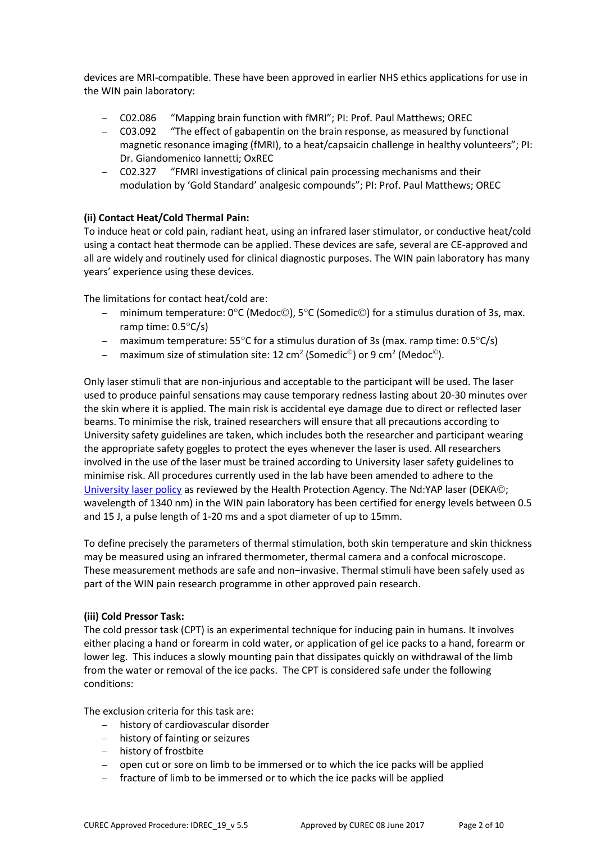devices are MRI-compatible. These have been approved in earlier NHS ethics applications for use in the WIN pain laboratory:

- C02.086 "Mapping brain function with fMRI"; PI: Prof. Paul Matthews; OREC
- C03.092 "The effect of gabapentin on the brain response, as measured by functional magnetic resonance imaging (fMRI), to a heat/capsaicin challenge in healthy volunteers"; PI: Dr. Giandomenico Iannetti; OxREC
- C02.327 "FMRI investigations of clinical pain processing mechanisms and their modulation by 'Gold Standard' analgesic compounds"; PI: Prof. Paul Matthews; OREC

# **(ii) Contact Heat/Cold Thermal Pain:**

To induce heat or cold pain, radiant heat, using an infrared laser stimulator, or conductive heat/cold using a contact heat thermode can be applied. These devices are safe, several are CE-approved and all are widely and routinely used for clinical diagnostic purposes. The WIN pain laboratory has many years' experience using these devices.

The limitations for contact heat/cold are:

- minimum temperature:  $0^{\circ}C$  (Medoc $\circledcirc$ ),  $5^{\circ}C$  (Somedic $\circledcirc$ ) for a stimulus duration of 3s, max. ramp time:  $0.5^{\circ}$ C/s)
- $-$  maximum temperature: 55°C for a stimulus duration of 3s (max. ramp time: 0.5°C/s)
- $-$  maximum size of stimulation site: 12 cm<sup>2</sup> (Somedic®) or 9 cm<sup>2</sup> (Medoc®).

Only laser stimuli that are non-injurious and acceptable to the participant will be used. The laser used to produce painful sensations may cause temporary redness lasting about 20-30 minutes over the skin where it is applied. The main risk is accidental eye damage due to direct or reflected laser beams. To minimise the risk, trained researchers will ensure that all precautions according to University safety guidelines are taken, which includes both the researcher and participant wearing the appropriate safety goggles to protect the eyes whenever the laser is used. All researchers involved in the use of the laser must be trained according to University laser safety guidelines to minimise risk. All procedures currently used in the lab have been amended to adhere to the [University laser policy](https://safety.admin.ox.ac.uk/laser-safety) as reviewed by the Health Protection Agency. The Nd:YAP laser (DEKA©; wavelength of 1340 nm) in the WIN pain laboratory has been certified for energy levels between 0.5 and 15 J, a pulse length of 1-20 ms and a spot diameter of up to 15mm.

To define precisely the parameters of thermal stimulation, both skin temperature and skin thickness may be measured using an infrared thermometer, thermal camera and a confocal microscope. These measurement methods are safe and non−invasive. Thermal stimuli have been safely used as part of the WIN pain research programme in other approved pain research.

#### **(iii) Cold Pressor Task:**

The cold pressor task (CPT) is an experimental technique for inducing pain in humans. It involves either placing a hand or forearm in cold water, or application of gel ice packs to a hand, forearm or lower leg. This induces a slowly mounting pain that dissipates quickly on withdrawal of the limb from the water or removal of the ice packs. The CPT is considered safe under the following conditions:

The exclusion criteria for this task are:

- history of cardiovascular disorder
- history of fainting or seizures
- history of frostbite
- open cut or sore on limb to be immersed or to which the ice packs will be applied
- fracture of limb to be immersed or to which the ice packs will be applied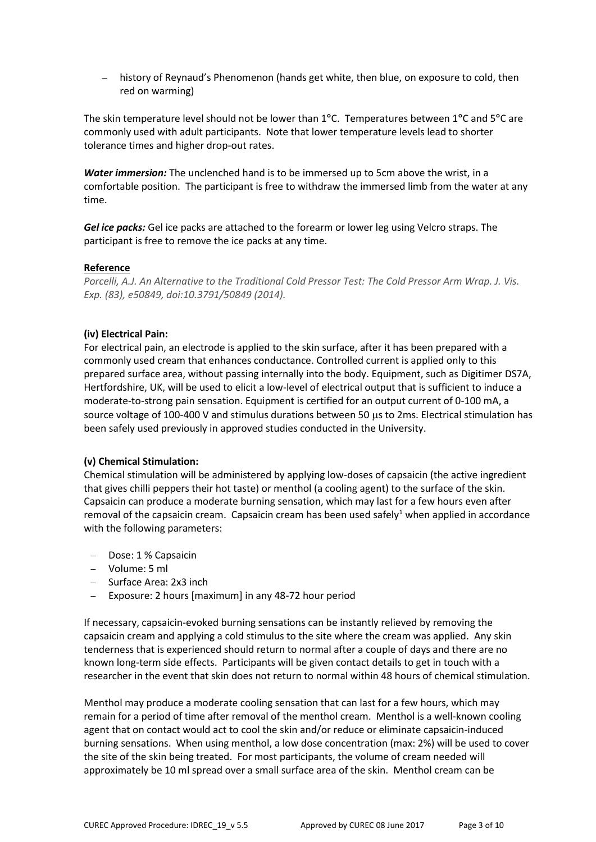history of Reynaud's Phenomenon (hands get white, then blue, on exposure to cold, then red on warming)

The skin temperature level should not be lower than 1**°**C. Temperatures between 1**°**C and 5**°**C are commonly used with adult participants. Note that lower temperature levels lead to shorter tolerance times and higher drop-out rates.

*Water immersion:* The unclenched hand is to be immersed up to 5cm above the wrist, in a comfortable position. The participant is free to withdraw the immersed limb from the water at any time.

*Gel ice packs:* Gel ice packs are attached to the forearm or lower leg using Velcro straps. The participant is free to remove the ice packs at any time.

#### **Reference**

*Porcelli, A.J. An Alternative to the Traditional Cold Pressor Test: The Cold Pressor Arm Wrap. J. Vis. Exp. (83), e50849, doi:10.3791/50849 (2014).*

#### **(iv) Electrical Pain:**

For electrical pain, an electrode is applied to the skin surface, after it has been prepared with a commonly used cream that enhances conductance. Controlled current is applied only to this prepared surface area, without passing internally into the body. Equipment, such as Digitimer DS7A, Hertfordshire, UK, will be used to elicit a low-level of electrical output that is sufficient to induce a moderate-to-strong pain sensation. Equipment is certified for an output current of 0-100 mA, a source voltage of 100-400 V and stimulus durations between 50 us to 2ms. Electrical stimulation has been safely used previously in approved studies conducted in the University.

#### **(v) Chemical Stimulation:**

Chemical stimulation will be administered by applying low-doses of capsaicin (the active ingredient that gives chilli peppers their hot taste) or menthol (a cooling agent) to the surface of the skin. Capsaicin can produce a moderate burning sensation, which may last for a few hours even after removal of the capsaicin cream. Capsaicin cream has been used safely<sup>1</sup> when applied in accordance with the following parameters:

- Dose: 1 % Capsaicin
- Volume: 5 ml
- Surface Area: 2x3 inch
- Exposure: 2 hours [maximum] in any 48-72 hour period

If necessary, capsaicin-evoked burning sensations can be instantly relieved by removing the capsaicin cream and applying a cold stimulus to the site where the cream was applied. Any skin tenderness that is experienced should return to normal after a couple of days and there are no known long-term side effects. Participants will be given contact details to get in touch with a researcher in the event that skin does not return to normal within 48 hours of chemical stimulation.

Menthol may produce a moderate cooling sensation that can last for a few hours, which may remain for a period of time after removal of the menthol cream. Menthol is a well-known cooling agent that on contact would act to cool the skin and/or reduce or eliminate capsaicin-induced burning sensations. When using menthol, a low dose concentration (max: 2%) will be used to cover the site of the skin being treated. For most participants, the volume of cream needed will approximately be 10 ml spread over a small surface area of the skin. Menthol cream can be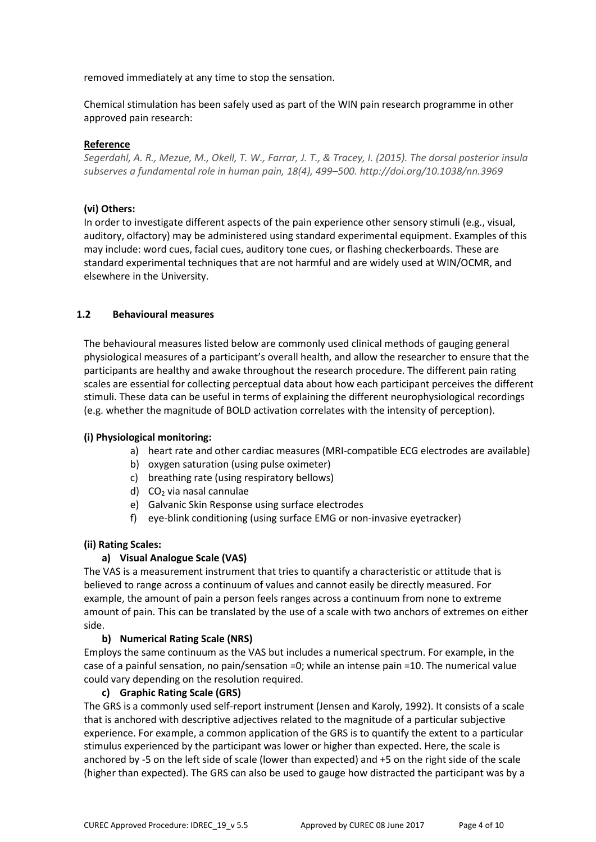removed immediately at any time to stop the sensation.

Chemical stimulation has been safely used as part of the WIN pain research programme in other approved pain research:

## **Reference**

*Segerdahl, A. R., Mezue, M., Okell, T. W., Farrar, J. T., & Tracey, I. (2015). The dorsal posterior insula subserves a fundamental role in human pain, 18(4), 499–500. http://doi.org/10.1038/nn.3969* 

## **(vi) Others:**

In order to investigate different aspects of the pain experience other sensory stimuli (e.g., visual, auditory, olfactory) may be administered using standard experimental equipment. Examples of this may include: word cues, facial cues, auditory tone cues, or flashing checkerboards. These are standard experimental techniques that are not harmful and are widely used at WIN/OCMR, and elsewhere in the University.

## **1.2 Behavioural measures**

The behavioural measures listed below are commonly used clinical methods of gauging general physiological measures of a participant's overall health, and allow the researcher to ensure that the participants are healthy and awake throughout the research procedure. The different pain rating scales are essential for collecting perceptual data about how each participant perceives the different stimuli. These data can be useful in terms of explaining the different neurophysiological recordings (e.g. whether the magnitude of BOLD activation correlates with the intensity of perception).

#### **(i) Physiological monitoring:**

- a) heart rate and other cardiac measures (MRI-compatible ECG electrodes are available)
- b) oxygen saturation (using pulse oximeter)
- c) breathing rate (using respiratory bellows)
- d)  $CO<sub>2</sub>$  via nasal cannulae
- e) Galvanic Skin Response using surface electrodes
- f) eye-blink conditioning (using surface EMG or non-invasive eyetracker)

#### **(ii) Rating Scales:**

# **a) Visual Analogue Scale (VAS)**

The VAS is a measurement instrument that tries to quantify a characteristic or attitude that is believed to range across a continuum of values and cannot easily be directly measured. For example, the amount of pain a person feels ranges across a continuum from none to extreme amount of pain. This can be translated by the use of a scale with two anchors of extremes on either side.

# **b) Numerical Rating Scale (NRS)**

Employs the same continuum as the VAS but includes a numerical spectrum. For example, in the case of a painful sensation, no pain/sensation =0; while an intense pain =10. The numerical value could vary depending on the resolution required.

#### **c) Graphic Rating Scale (GRS)**

The GRS is a commonly used self-report instrument (Jensen and Karoly, 1992). It consists of a scale that is anchored with descriptive adjectives related to the magnitude of a particular subjective experience. For example, a common application of the GRS is to quantify the extent to a particular stimulus experienced by the participant was lower or higher than expected. Here, the scale is anchored by -5 on the left side of scale (lower than expected) and +5 on the right side of the scale (higher than expected). The GRS can also be used to gauge how distracted the participant was by a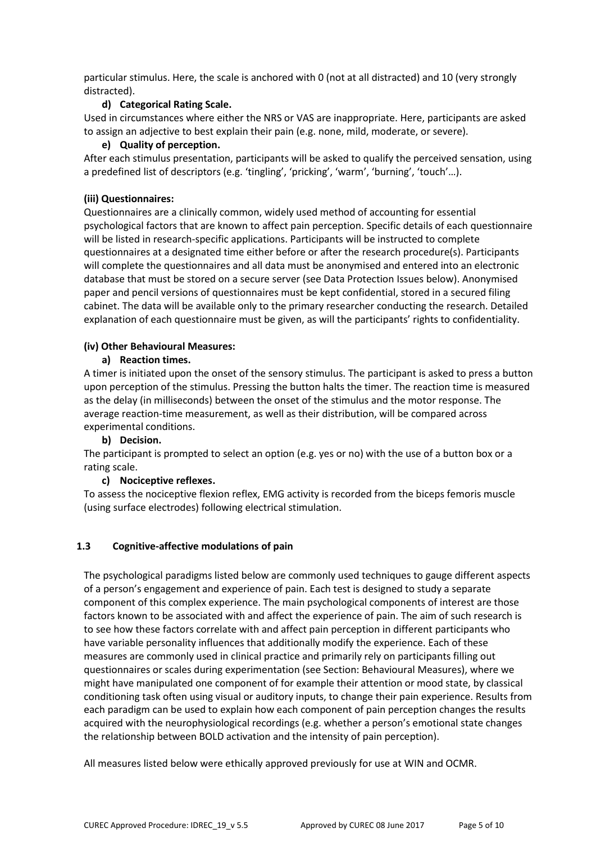particular stimulus. Here, the scale is anchored with 0 (not at all distracted) and 10 (very strongly distracted).

## **d) Categorical Rating Scale.**

Used in circumstances where either the NRS or VAS are inappropriate. Here, participants are asked to assign an adjective to best explain their pain (e.g. none, mild, moderate, or severe).

## **e) Quality of perception.**

After each stimulus presentation, participants will be asked to qualify the perceived sensation, using a predefined list of descriptors (e.g. 'tingling', 'pricking', 'warm', 'burning', 'touch'…).

## **(iii) Questionnaires:**

Questionnaires are a clinically common, widely used method of accounting for essential psychological factors that are known to affect pain perception. Specific details of each questionnaire will be listed in research-specific applications. Participants will be instructed to complete questionnaires at a designated time either before or after the research procedure(s). Participants will complete the questionnaires and all data must be anonymised and entered into an electronic database that must be stored on a secure server (see Data Protection Issues below). Anonymised paper and pencil versions of questionnaires must be kept confidential, stored in a secured filing cabinet. The data will be available only to the primary researcher conducting the research. Detailed explanation of each questionnaire must be given, as will the participants' rights to confidentiality.

## **(iv) Other Behavioural Measures:**

## **a) Reaction times.**

A timer is initiated upon the onset of the sensory stimulus. The participant is asked to press a button upon perception of the stimulus. Pressing the button halts the timer. The reaction time is measured as the delay (in milliseconds) between the onset of the stimulus and the motor response. The average reaction-time measurement, as well as their distribution, will be compared across experimental conditions.

#### **b) Decision.**

The participant is prompted to select an option (e.g. yes or no) with the use of a button box or a rating scale.

# **c) Nociceptive reflexes.**

To assess the nociceptive flexion reflex, EMG activity is recorded from the biceps femoris muscle (using surface electrodes) following electrical stimulation.

# **1.3 Cognitive-affective modulations of pain**

The psychological paradigms listed below are commonly used techniques to gauge different aspects of a person's engagement and experience of pain. Each test is designed to study a separate component of this complex experience. The main psychological components of interest are those factors known to be associated with and affect the experience of pain. The aim of such research is to see how these factors correlate with and affect pain perception in different participants who have variable personality influences that additionally modify the experience. Each of these measures are commonly used in clinical practice and primarily rely on participants filling out questionnaires or scales during experimentation (see Section: Behavioural Measures), where we might have manipulated one component of for example their attention or mood state, by classical conditioning task often using visual or auditory inputs, to change their pain experience. Results from each paradigm can be used to explain how each component of pain perception changes the results acquired with the neurophysiological recordings (e.g. whether a person's emotional state changes the relationship between BOLD activation and the intensity of pain perception).

All measures listed below were ethically approved previously for use at WIN and OCMR.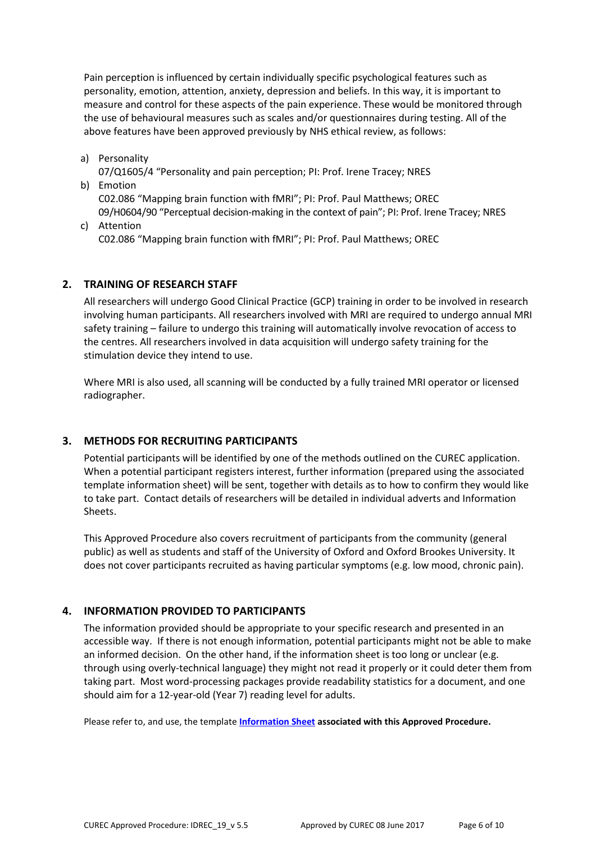Pain perception is influenced by certain individually specific psychological features such as personality, emotion, attention, anxiety, depression and beliefs. In this way, it is important to measure and control for these aspects of the pain experience. These would be monitored through the use of behavioural measures such as scales and/or questionnaires during testing. All of the above features have been approved previously by NHS ethical review, as follows:

a) Personality

07/Q1605/4 "Personality and pain perception; PI: Prof. Irene Tracey; NRES

- b) Emotion C02.086 "Mapping brain function with fMRI"; PI: Prof. Paul Matthews; OREC 09/H0604/90 "Perceptual decision-making in the context of pain"; PI: Prof. Irene Tracey; NRES
- c) Attention C02.086 "Mapping brain function with fMRI"; PI: Prof. Paul Matthews; OREC

# **2. TRAINING OF RESEARCH STAFF**

All researchers will undergo Good Clinical Practice (GCP) training in order to be involved in research involving human participants. All researchers involved with MRI are required to undergo annual MRI safety training – failure to undergo this training will automatically involve revocation of access to the centres. All researchers involved in data acquisition will undergo safety training for the stimulation device they intend to use.

Where MRI is also used, all scanning will be conducted by a fully trained MRI operator or licensed radiographer.

# **3. METHODS FOR RECRUITING PARTICIPANTS**

Potential participants will be identified by one of the methods outlined on the CUREC application. When a potential participant registers interest, further information (prepared using the associated template information sheet) will be sent, together with details as to how to confirm they would like to take part. Contact details of researchers will be detailed in individual adverts and Information Sheets.

This Approved Procedure also covers recruitment of participants from the community (general public) as well as students and staff of the University of Oxford and Oxford Brookes University. It does not cover participants recruited as having particular symptoms (e.g. low mood, chronic pain).

# **4. INFORMATION PROVIDED TO PARTICIPANTS**

The information provided should be appropriate to your specific research and presented in an accessible way. If there is not enough information, potential participants might not be able to make an informed decision. On the other hand, if the information sheet is too long or unclear (e.g. through using overly-technical language) they might not read it properly or it could deter them from taking part. Most word-processing packages provide readability statistics for a document, and one should aim for a 12-year-old (Year 7) reading level for adults.

Please refer to, and use, the template **[Information Sheet](http://researchsupport.admin.ox.ac.uk/governance/ethics/resources/ap#collapse2-7) associated with this Approved Procedure.**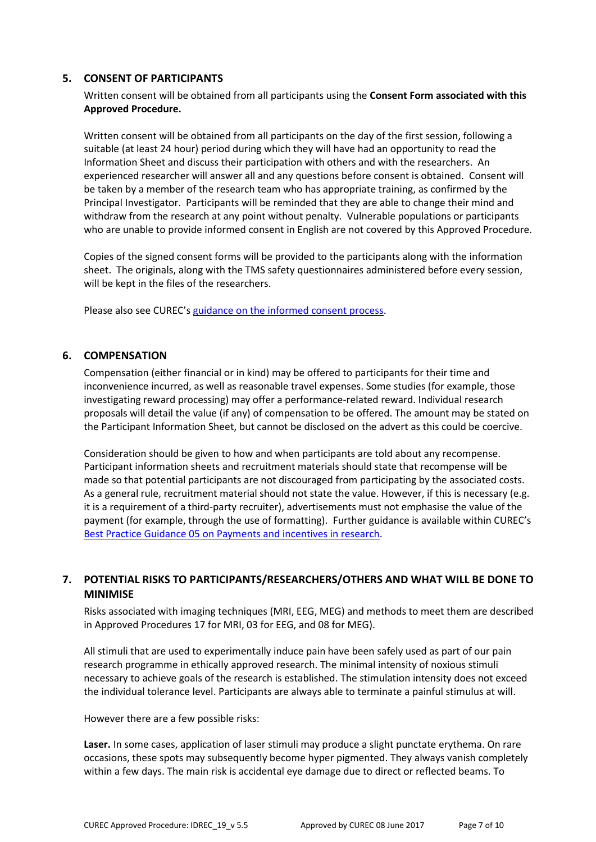## **5. CONSENT OF PARTICIPANTS**

Written consent will be obtained from all participants using the **Consent Form associated with this Approved Procedure.**

Written consent will be obtained from all participants on the day of the first session, following a suitable (at least 24 hour) period during which they will have had an opportunity to read the Information Sheet and discuss their participation with others and with the researchers. An experienced researcher will answer all and any questions before consent is obtained. Consent will be taken by a member of the research team who has appropriate training, as confirmed by the Principal Investigator. Participants will be reminded that they are able to change their mind and withdraw from the research at any point without penalty. Vulnerable populations or participants who are unable to provide informed consent in English are not covered by this Approved Procedure.

Copies of the signed consent forms will be provided to the participants along with the information sheet. The originals, along with the TMS safety questionnaires administered before every session, will be kept in the files of the researchers.

Please also see CUREC's [guidance on the informed consent process.](http://researchsupport.admin.ox.ac.uk/governance/ethics/resources/consent)

## **6. COMPENSATION**

Compensation (either financial or in kind) may be offered to participants for their time and inconvenience incurred, as well as reasonable travel expenses. Some studies (for example, those investigating reward processing) may offer a performance-related reward. Individual research proposals will detail the value (if any) of compensation to be offered. The amount may be stated on the Participant Information Sheet, but cannot be disclosed on the advert as this could be coercive.

Consideration should be given to how and when participants are told about any recompense. Participant information sheets and recruitment materials should state that recompense will be made so that potential participants are not discouraged from participating by the associated costs. As a general rule, recruitment material should not state the value. However, if this is necessary (e.g. it is a requirement of a third-party recruiter), advertisements must not emphasise the value of the payment (for example, through the use of formatting). Further guidance is available within CUREC's [Best Practice Guidance 05 on Payments and incentives in research.](https://researchsupport.admin.ox.ac.uk/governance/ethics/resources/bpg)

# **7. POTENTIAL RISKS TO PARTICIPANTS/RESEARCHERS/OTHERS AND WHAT WILL BE DONE TO MINIMISE**

Risks associated with imaging techniques (MRI, EEG, MEG) and methods to meet them are described in Approved Procedures 17 for MRI, 03 for EEG, and 08 for MEG).

All stimuli that are used to experimentally induce pain have been safely used as part of our pain research programme in ethically approved research. The minimal intensity of noxious stimuli necessary to achieve goals of the research is established. The stimulation intensity does not exceed the individual tolerance level. Participants are always able to terminate a painful stimulus at will.

However there are a few possible risks:

**Laser.** In some cases, application of laser stimuli may produce a slight punctate erythema. On rare occasions, these spots may subsequently become hyper pigmented. They always vanish completely within a few days. The main risk is accidental eye damage due to direct or reflected beams. To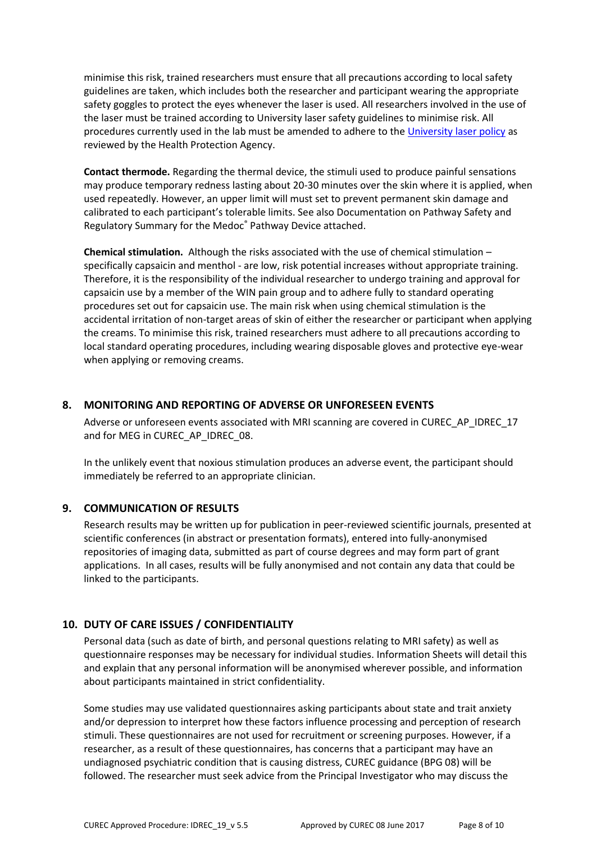minimise this risk, trained researchers must ensure that all precautions according to local safety guidelines are taken, which includes both the researcher and participant wearing the appropriate safety goggles to protect the eyes whenever the laser is used. All researchers involved in the use of the laser must be trained according to University laser safety guidelines to minimise risk. All procedures currently used in the lab must be amended to adhere to the [University laser policy](https://safety.admin.ox.ac.uk/laser-safety) as reviewed by the Health Protection Agency.

**Contact thermode.** Regarding the thermal device, the stimuli used to produce painful sensations may produce temporary redness lasting about 20-30 minutes over the skin where it is applied, when used repeatedly. However, an upper limit will must set to prevent permanent skin damage and calibrated to each participant's tolerable limits. See also Documentation on Pathway Safety and Regulatory Summary for the Medoc® Pathway Device attached.

**Chemical stimulation.** Although the risks associated with the use of chemical stimulation – specifically capsaicin and menthol - are low, risk potential increases without appropriate training. Therefore, it is the responsibility of the individual researcher to undergo training and approval for capsaicin use by a member of the WIN pain group and to adhere fully to standard operating procedures set out for capsaicin use. The main risk when using chemical stimulation is the accidental irritation of non-target areas of skin of either the researcher or participant when applying the creams. To minimise this risk, trained researchers must adhere to all precautions according to local standard operating procedures, including wearing disposable gloves and protective eye-wear when applying or removing creams.

# **8. MONITORING AND REPORTING OF ADVERSE OR UNFORESEEN EVENTS**

Adverse or unforeseen events associated with MRI scanning are covered in CUREC\_AP\_IDREC\_17 and for MEG in CUREC\_AP\_IDREC\_08.

In the unlikely event that noxious stimulation produces an adverse event, the participant should immediately be referred to an appropriate clinician.

# **9. COMMUNICATION OF RESULTS**

Research results may be written up for publication in peer-reviewed scientific journals, presented at scientific conferences (in abstract or presentation formats), entered into fully-anonymised repositories of imaging data, submitted as part of course degrees and may form part of grant applications. In all cases, results will be fully anonymised and not contain any data that could be linked to the participants.

# **10. DUTY OF CARE ISSUES / CONFIDENTIALITY**

Personal data (such as date of birth, and personal questions relating to MRI safety) as well as questionnaire responses may be necessary for individual studies. Information Sheets will detail this and explain that any personal information will be anonymised wherever possible, and information about participants maintained in strict confidentiality.

Some studies may use validated questionnaires asking participants about state and trait anxiety and/or depression to interpret how these factors influence processing and perception of research stimuli. These questionnaires are not used for recruitment or screening purposes. However, if a researcher, as a result of these questionnaires, has concerns that a participant may have an undiagnosed psychiatric condition that is causing distress, CUREC guidance (BPG 08) will be followed. The researcher must seek advice from the Principal Investigator who may discuss the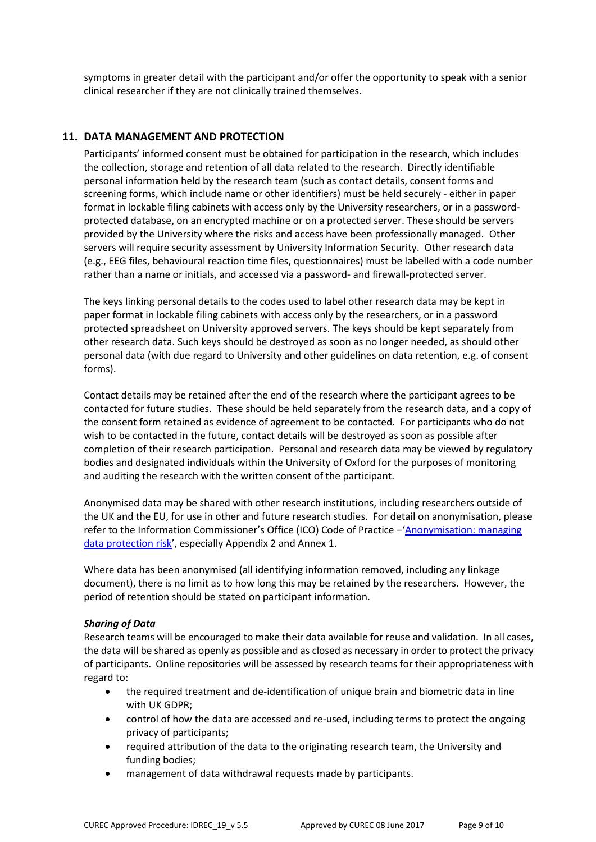symptoms in greater detail with the participant and/or offer the opportunity to speak with a senior clinical researcher if they are not clinically trained themselves.

# **11. DATA MANAGEMENT AND PROTECTION**

Participants' informed consent must be obtained for participation in the research, which includes the collection, storage and retention of all data related to the research. Directly identifiable personal information held by the research team (such as contact details, consent forms and screening forms, which include name or other identifiers) must be held securely - either in paper format in lockable filing cabinets with access only by the University researchers, or in a passwordprotected database, on an encrypted machine or on a protected server. These should be servers provided by the University where the risks and access have been professionally managed. Other servers will require security assessment by University Information Security. Other research data (e.g., EEG files, behavioural reaction time files, questionnaires) must be labelled with a code number rather than a name or initials, and accessed via a password- and firewall-protected server.

The keys linking personal details to the codes used to label other research data may be kept in paper format in lockable filing cabinets with access only by the researchers, or in a password protected spreadsheet on University approved servers. The keys should be kept separately from other research data. Such keys should be destroyed as soon as no longer needed, as should other personal data (with due regard to University and other guidelines on data retention, e.g. of consent forms).

Contact details may be retained after the end of the research where the participant agrees to be contacted for future studies. These should be held separately from the research data, and a copy of the consent form retained as evidence of agreement to be contacted. For participants who do not wish to be contacted in the future, contact details will be destroyed as soon as possible after completion of their research participation. Personal and research data may be viewed by regulatory bodies and designated individuals within the University of Oxford for the purposes of monitoring and auditing the research with the written consent of the participant.

Anonymised data may be shared with other research institutions, including researchers outside of the UK and the EU, for use in other and future research studies. For detail on anonymisation, please refer to the Information Commissioner's Office (ICO) Code of Practice –'[Anonymisation: managing](https://ico.org.uk/media/1061/anonymisation-code.pdf)  [data protection risk](https://ico.org.uk/media/1061/anonymisation-code.pdf)', especially Appendix 2 and Annex 1.

Where data has been anonymised (all identifying information removed, including any linkage document), there is no limit as to how long this may be retained by the researchers. However, the period of retention should be stated on participant information.

#### *Sharing of Data*

Research teams will be encouraged to make their data available for reuse and validation. In all cases, the data will be shared as openly as possible and as closed as necessary in order to protect the privacy of participants. Online repositories will be assessed by research teams for their appropriateness with regard to:

- the required treatment and de-identification of unique brain and biometric data in line with UK GDPR;
- control of how the data are accessed and re-used, including terms to protect the ongoing privacy of participants;
- required attribution of the data to the originating research team, the University and funding bodies;
- management of data withdrawal requests made by participants.